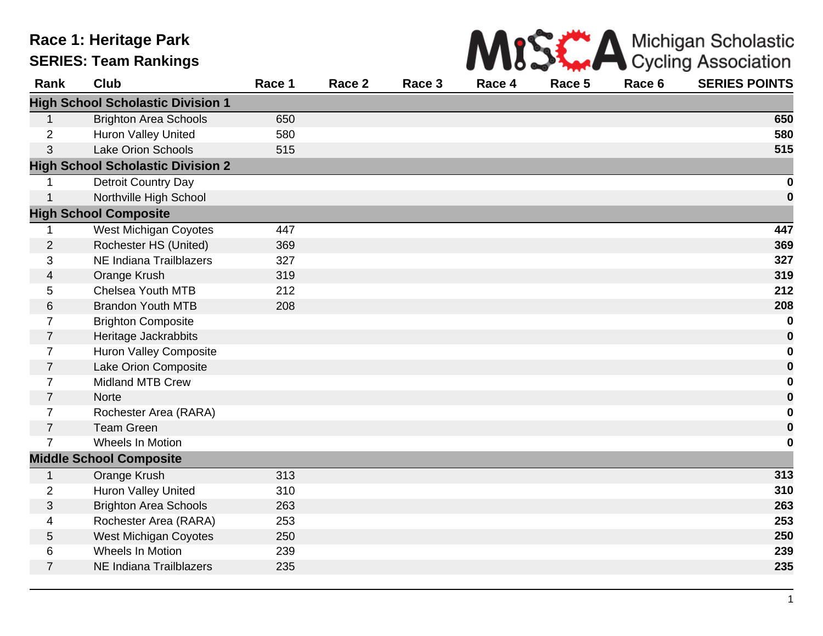## **Race 1: Heritage Park SERIES: Team Rankings**



| Rank           | <b>Club</b>                              | Race 1 | Race 2 | Race 3 | Race 4 | Race 5 | Race 6 | <b>SERIES POINTS</b> |
|----------------|------------------------------------------|--------|--------|--------|--------|--------|--------|----------------------|
|                | <b>High School Scholastic Division 1</b> |        |        |        |        |        |        |                      |
| 1              | <b>Brighton Area Schools</b>             | 650    |        |        |        |        |        | 650                  |
| $\overline{2}$ | Huron Valley United                      | 580    |        |        |        |        |        | 580                  |
| 3              | <b>Lake Orion Schools</b>                | 515    |        |        |        |        |        | 515                  |
|                | <b>High School Scholastic Division 2</b> |        |        |        |        |        |        |                      |
| 1              | Detroit Country Day                      |        |        |        |        |        |        | $\boldsymbol{0}$     |
| $\mathbf{1}$   | Northville High School                   |        |        |        |        |        |        | $\bf{0}$             |
|                | <b>High School Composite</b>             |        |        |        |        |        |        |                      |
| 1              | <b>West Michigan Coyotes</b>             | 447    |        |        |        |        |        | 447                  |
| $\overline{2}$ | Rochester HS (United)                    | 369    |        |        |        |        |        | 369                  |
| 3              | NE Indiana Trailblazers                  | 327    |        |        |        |        |        | 327                  |
| 4              | Orange Krush                             | 319    |        |        |        |        |        | 319                  |
| 5              | Chelsea Youth MTB                        | 212    |        |        |        |        |        | 212                  |
| 6              | <b>Brandon Youth MTB</b>                 | 208    |        |        |        |        |        | 208                  |
| 7              | <b>Brighton Composite</b>                |        |        |        |        |        |        | $\bf{0}$             |
| $\overline{7}$ | Heritage Jackrabbits                     |        |        |        |        |        |        | $\boldsymbol{0}$     |
| $\overline{7}$ | <b>Huron Valley Composite</b>            |        |        |        |        |        |        | $\boldsymbol{0}$     |
| 7              | Lake Orion Composite                     |        |        |        |        |        |        | $\bf{0}$             |
| 7              | <b>Midland MTB Crew</b>                  |        |        |        |        |        |        | $\boldsymbol{0}$     |
| $\overline{7}$ | <b>Norte</b>                             |        |        |        |        |        |        | $\bf{0}$             |
| $\overline{7}$ | Rochester Area (RARA)                    |        |        |        |        |        |        | 0                    |
| $\overline{7}$ | <b>Team Green</b>                        |        |        |        |        |        |        | $\bf{0}$             |
| $\overline{7}$ | Wheels In Motion                         |        |        |        |        |        |        | $\bf{0}$             |
|                | <b>Middle School Composite</b>           |        |        |        |        |        |        |                      |
| $\mathbf{1}$   | Orange Krush                             | 313    |        |        |        |        |        | 313                  |
| $\overline{2}$ | Huron Valley United                      | 310    |        |        |        |        |        | 310                  |
| $\mathfrak{S}$ | <b>Brighton Area Schools</b>             | 263    |        |        |        |        |        | 263                  |
| 4              | Rochester Area (RARA)                    | 253    |        |        |        |        |        | 253                  |
| 5              | <b>West Michigan Coyotes</b>             | 250    |        |        |        |        |        | 250                  |
| 6              | Wheels In Motion                         | 239    |        |        |        |        |        | 239                  |
| $\overline{7}$ | <b>NE Indiana Trailblazers</b>           | 235    |        |        |        |        |        | 235                  |
|                |                                          |        |        |        |        |        |        |                      |